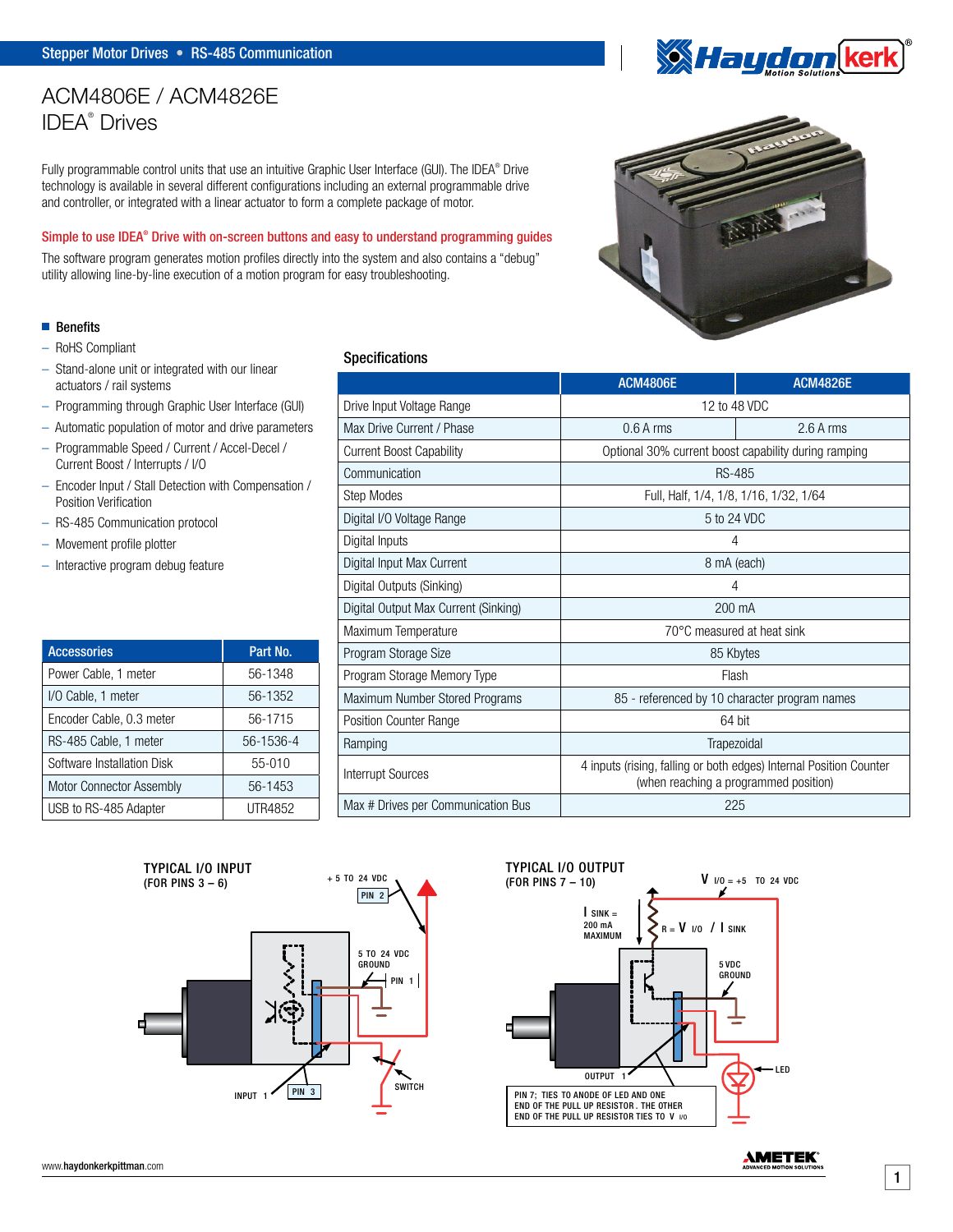# ACM4806E / ACM4826E IDEA® Drives

Fully programmable control units that use an intuitive Graphic User Interface (GUI). The IDEA® Drive technology is available in several different configurations including an external programmable drive and controller, or integrated with a linear actuator to form a complete package of motor.

### Simple to use IDEA® Drive with on-screen buttons and easy to understand programming guides

The software program generates motion profiles directly into the system and also contains a "debug" utility allowing line-by-line execution of a motion program for easy troubleshooting.

## **■** Benefits

- RoHS Compliant
- Stand-alone unit or integrated with our linear actuators / rail systems
- Programming through Graphic User Interface (GUI)
- Automatic population of motor and drive parameters
- Programmable Speed / Current / Accel-Decel / Current Boost / Interrupts / I/O
- Encoder Input / Stall Detection with Compensation / Position Verification
- RS-485 Communication protocol
- Movement profile plotter
- Interactive program debug feature

| <b>Accessories</b>         | Part No.  |
|----------------------------|-----------|
| Power Cable, 1 meter       | 56-1348   |
| I/O Cable, 1 meter         | 56-1352   |
| Encoder Cable, 0.3 meter   | 56-1715   |
| RS-485 Cable, 1 meter      | 56-1536-4 |
| Software Installation Disk | $55-010$  |
| Motor Connector Assembly   | 56-1453   |
| USB to RS-485 Adapter      | UTR4852   |

## Specifications

|                                                                                 | <b>ACM4806E</b>                                                                                             | <b>ACM4826E</b> |  |
|---------------------------------------------------------------------------------|-------------------------------------------------------------------------------------------------------------|-----------------|--|
| Drive Input Voltage Range                                                       | 12 to 48 VDC                                                                                                |                 |  |
| Max Drive Current / Phase                                                       | $0.6A$ rms                                                                                                  | $2.6A$ rms      |  |
| <b>Current Boost Capability</b>                                                 | Optional 30% current boost capability during ramping                                                        |                 |  |
| Communication                                                                   | <b>RS-485</b>                                                                                               |                 |  |
| Step Modes                                                                      | Full, Half, 1/4, 1/8, 1/16, 1/32, 1/64                                                                      |                 |  |
| Digital I/O Voltage Range                                                       | 5 to 24 VDC                                                                                                 |                 |  |
| Digital Inputs                                                                  | 4                                                                                                           |                 |  |
| Digital Input Max Current                                                       | 8 mA (each)                                                                                                 |                 |  |
| Digital Outputs (Sinking)                                                       | 4                                                                                                           |                 |  |
| Digital Output Max Current (Sinking)                                            | 200 mA                                                                                                      |                 |  |
| Maximum Temperature                                                             | 70°C measured at heat sink                                                                                  |                 |  |
| Program Storage Size                                                            | 85 Kbytes                                                                                                   |                 |  |
| Program Storage Memory Type<br>Flash                                            |                                                                                                             |                 |  |
| Maximum Number Stored Programs<br>85 - referenced by 10 character program names |                                                                                                             |                 |  |
| 64 bit<br><b>Position Counter Range</b>                                         |                                                                                                             |                 |  |
| Ramping                                                                         | Trapezoidal                                                                                                 |                 |  |
| <b>Interrupt Sources</b>                                                        | 4 inputs (rising, falling or both edges) Internal Position Counter<br>(when reaching a programmed position) |                 |  |
| Max # Drives per Communication Bus                                              | 225                                                                                                         |                 |  |





**XX Haydon ker** 

**AMETEK**